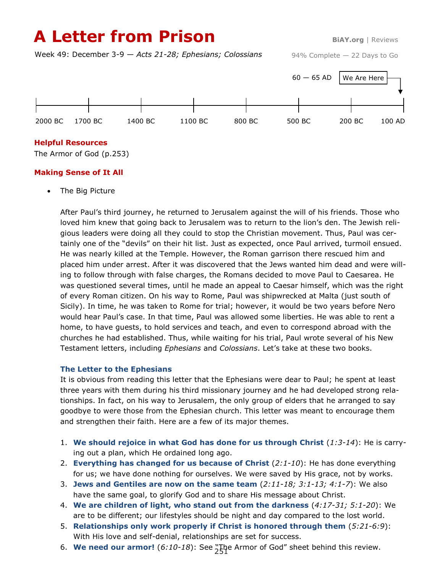# **A Letter from Prison BiAY.org** | Reviews

Week 49: December 3-9 — *Acts 21-28; Ephesians; Colossians*

94% Complete — 22 Days to Go



## **Helpful Resources**

The Armor of God (p.253)

## **Making Sense of It All**

The Big Picture

After Paul's third journey, he returned to Jerusalem against the will of his friends. Those who loved him knew that going back to Jerusalem was to return to the lion's den. The Jewish religious leaders were doing all they could to stop the Christian movement. Thus, Paul was certainly one of the "devils" on their hit list. Just as expected, once Paul arrived, turmoil ensued. He was nearly killed at the Temple. However, the Roman garrison there rescued him and placed him under arrest. After it was discovered that the Jews wanted him dead and were willing to follow through with false charges, the Romans decided to move Paul to Caesarea. He was questioned several times, until he made an appeal to Caesar himself, which was the right of every Roman citizen. On his way to Rome, Paul was shipwrecked at Malta (just south of Sicily). In time, he was taken to Rome for trial; however, it would be two years before Nero would hear Paul's case. In that time, Paul was allowed some liberties. He was able to rent a home, to have guests, to hold services and teach, and even to correspond abroad with the churches he had established. Thus, while waiting for his trial, Paul wrote several of his New Testament letters, including *Ephesians* and *Colossians*. Let's take at these two books.

## **The Letter to the Ephesians**

It is obvious from reading this letter that the Ephesians were dear to Paul; he spent at least three years with them during his third missionary journey and he had developed strong relationships. In fact, on his way to Jerusalem, the only group of elders that he arranged to say goodbye to were those from the Ephesian church. This letter was meant to encourage them and strengthen their faith. Here are a few of its major themes.

- 1. **We should rejoice in what God has done for us through Christ** (*1:3-14*): He is carrying out a plan, which He ordained long ago.
- 2. **Everything has changed for us because of Christ** (*2:1-10*): He has done everything for us; we have done nothing for ourselves. We were saved by His grace, not by works.
- 3. **Jews and Gentiles are now on the same team** (*2:11-18; 3:1-13; 4:1-7*): We also have the same goal, to glorify God and to share His message about Christ.
- 4. **We are children of light, who stand out from the darkness** (*4:17-31; 5:1-20*): We are to be different; our lifestyles should be night and day compared to the lost world.
- 5. **Relationships only work properly if Christ is honored through them** (*5:21-6:9*): With His love and self-denial, relationships are set for success.
- 6. **We need our armor!** (*6:10-18*): See "The Armor of God" sheet behind this review. 251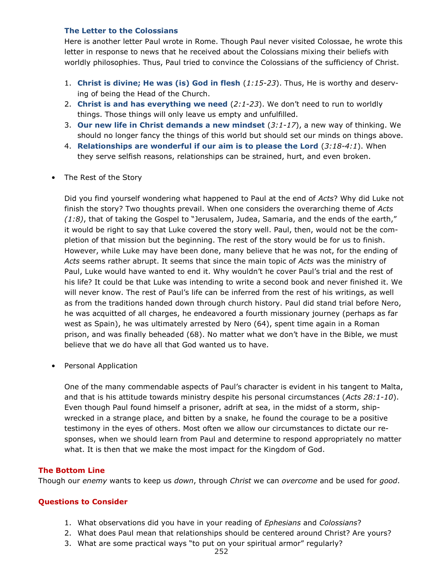#### **The Letter to the Colossians**

Here is another letter Paul wrote in Rome. Though Paul never visited Colossae, he wrote this letter in response to news that he received about the Colossians mixing their beliefs with worldly philosophies. Thus, Paul tried to convince the Colossians of the sufficiency of Christ.

- 1. **Christ is divine; He was (is) God in flesh** (*1:15-23*). Thus, He is worthy and deserving of being the Head of the Church.
- 2. **Christ is and has everything we need** (*2:1-23*). We don't need to run to worldly things. Those things will only leave us empty and unfulfilled.
- 3. **Our new life in Christ demands a new mindset** (*3:1-17*), a new way of thinking. We should no longer fancy the things of this world but should set our minds on things above.
- 4. **Relationships are wonderful if our aim is to please the Lord** (*3:18-4:1*). When they serve selfish reasons, relationships can be strained, hurt, and even broken.
- The Rest of the Story

Did you find yourself wondering what happened to Paul at the end of *Acts*? Why did Luke not finish the story? Two thoughts prevail. When one considers the overarching theme of *Acts (1:8)*, that of taking the Gospel to "Jerusalem, Judea, Samaria, and the ends of the earth," it would be right to say that Luke covered the story well. Paul, then, would not be the completion of that mission but the beginning. The rest of the story would be for us to finish. However, while Luke may have been done, many believe that he was not, for the ending of *Acts* seems rather abrupt. It seems that since the main topic of *Acts* was the ministry of Paul, Luke would have wanted to end it. Why wouldn't he cover Paul's trial and the rest of his life? It could be that Luke was intending to write a second book and never finished it. We will never know. The rest of Paul's life can be inferred from the rest of his writings, as well as from the traditions handed down through church history. Paul did stand trial before Nero, he was acquitted of all charges, he endeavored a fourth missionary journey (perhaps as far west as Spain), he was ultimately arrested by Nero (64), spent time again in a Roman prison, and was finally beheaded (68). No matter what we don't have in the Bible, we must believe that we do have all that God wanted us to have.

• Personal Application

One of the many commendable aspects of Paul's character is evident in his tangent to Malta, and that is his attitude towards ministry despite his personal circumstances (*Acts 28:1-10*). Even though Paul found himself a prisoner, adrift at sea, in the midst of a storm, shipwrecked in a strange place, and bitten by a snake, he found the courage to be a positive testimony in the eyes of others. Most often we allow our circumstances to dictate our responses, when we should learn from Paul and determine to respond appropriately no matter what. It is then that we make the most impact for the Kingdom of God.

## **The Bottom Line**

Though our *enemy* wants to keep us *down*, through *Christ* we can *overcome* and be used for *good*.

## **Questions to Consider**

- 1. What observations did you have in your reading of *Ephesians* and *Colossians*?
- 2. What does Paul mean that relationships should be centered around Christ? Are yours?
- 3. What are some practical ways "to put on your spiritual armor" regularly?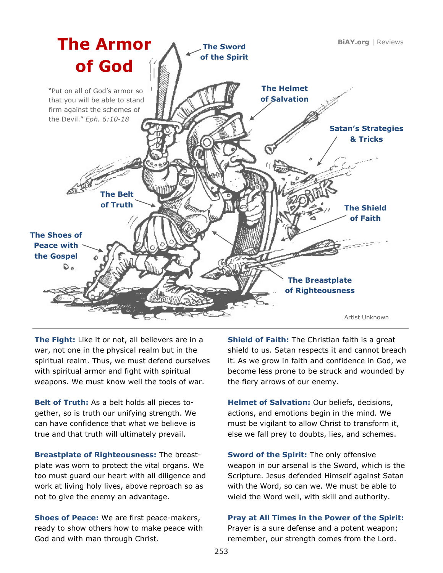

**The Fight:** Like it or not, all believers are in a war, not one in the physical realm but in the spiritual realm. Thus, we must defend ourselves with spiritual armor and fight with spiritual weapons. We must know well the tools of war.

**Belt of Truth:** As a belt holds all pieces together, so is truth our unifying strength. We can have confidence that what we believe is true and that truth will ultimately prevail.

**Breastplate of Righteousness:** The breastplate was worn to protect the vital organs. We too must guard our heart with all diligence and work at living holy lives, above reproach so as not to give the enemy an advantage.

**Shoes of Peace:** We are first peace-makers, ready to show others how to make peace with God and with man through Christ.

**Shield of Faith:** The Christian faith is a great shield to us. Satan respects it and cannot breach it. As we grow in faith and confidence in God, we become less prone to be struck and wounded by the fiery arrows of our enemy.

**Helmet of Salvation:** Our beliefs, decisions, actions, and emotions begin in the mind. We must be vigilant to allow Christ to transform it, else we fall prey to doubts, lies, and schemes.

**Sword of the Spirit:** The only offensive weapon in our arsenal is the Sword, which is the Scripture. Jesus defended Himself against Satan with the Word, so can we. We must be able to wield the Word well, with skill and authority.

**Pray at All Times in the Power of the Spirit:**  Prayer is a sure defense and a potent weapon; remember, our strength comes from the Lord.